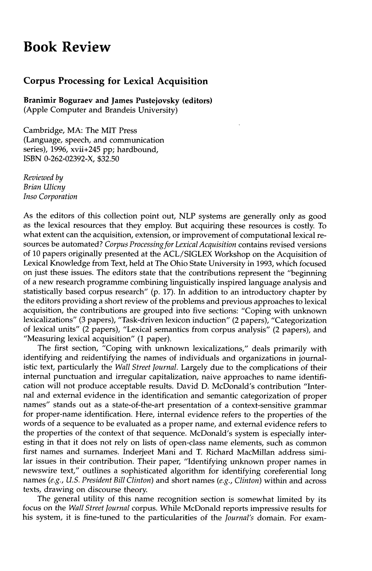## **Book Review**

## **Corpus Processing for Lexical Acquisition**

**Branimir Boguraev and James Pustejovsky (editors)**  (Apple Computer and Brandeis University)

Cambridge, MA: The MIT Press (Language, speech, and communication series), 1996, xvii+245 pp; hardbound, ISBN 0-262-02392-X, \$32.50

*Reviewed by Brian Ulicny Inso Corporation* 

As the editors of this collection point out, NLP systems are generally only as good as the lexical resources that they employ. But acquiring these resources is costly. To what extent can the acquisition, extension, or improvement of computational lexical resources be automated? *Corpus Processing for Lexical Acquisition* contains revised versions of 10 papers originally presented at the ACL/SIGLEX Workshop on the Acquisition of Lexical Knowledge from Text, held at The Ohio State University in 1993, which focused on just these issues. The editors state that the contributions represent the "beginning of a new research programme combining linguistically inspired language analysis and statistically based corpus research" (p. 17). In addition to an introductory chapter by the editors providing a short review of the problems and previous approaches to lexical acquisition, the contributions are grouped into five sections: "Coping with unknown lexicalizations" (3 papers), "Task-driven lexicon induction" (2 papers), "Categorization of lexical units" (2 papers), "Lexical semantics from corpus analysis" (2 papers), and "Measuring lexical acquisition" (1 paper).

The first section, "Coping with unknown lexicalizations," deals primarily with identifying and reidentifying the names of individuals and organizations in journalistic text, particularly the *Wall Street Journal.* Largely due to the complications of their internal punctuation and irregular capitalization, naive approaches to name identification will not produce acceptable results. David D. McDonald's contribution "Internal and external evidence in the identification and semantic categorization of proper names" stands out as a state-of-the-art presentation of a context-sensitive grammar for proper-name identification. Here, internal evidence refers to the properties of the words of a sequence to be evaluated as a proper name, and external evidence refers to the properties of the context of that sequence. McDonald's system is especially interesting in that it does not rely on lists of open-class name elements, such as common first names and surnames. Inderjeet Mani and T. Richard MacMillan address similar issues in their contribution. Their paper, "Identifying unknown proper names in newswire text," outlines a sophisticated algorithm for identifying coreferential long names *(e.g., U.S. President Bill Clinton)* and short names *(e.g., Clinton)* within and across texts, drawing on discourse theory.

The general utility of this name recognition section is somewhat limited by its focus on the *Wall Street Journal* corpus. While McDonald reports impressive results for his system, it is fine-tuned to the particularities of the *Journal's* domain. For exam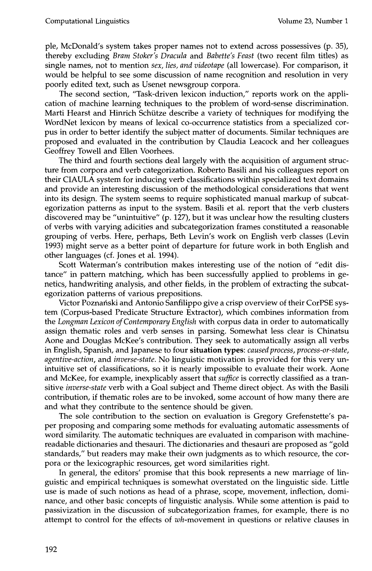ple, McDonald's system takes proper names not to extend across possessives (p. 35), thereby excluding *Bram Stoker's Dracula* and *Babette's Feast* (two recent film titles) as single names, not to mention *sex, lies, and videotape* (all lowercase). For comparison, it would be helpful to see some discussion of name recognition and resolution in very poorly edited text, such as Usenet newsgroup corpora.

The second section, "Task-driven lexicon induction," reports work on the application of machine learning techniques to the problem of word-sense discrimination. Marti Hearst and Hinrich Schütze describe a variety of techniques for modifying the WordNet lexicon by means of lexical co-occurrence statistics from a specialized corpus in order to better identify the subject matter of documents. Similar techniques are proposed and evaluated in the contribution by Claudia Leacock and her colleagues Geoffrey Towell and Ellen Voorhees.

The third and fourth sections deal largely with the acquisition of argument structure from corpora and verb categorization. Roberto Basili and his colleagues report on their CIAULA system for inducing verb classifications within specialized text domains and provide an interesting discussion of the methodological considerations that went into its design. The system seems to require sophisticated manual markup of subcategorization patterns as input to the system. Basili et al. report that the verb clusters discovered may be "unintuitive" (p. 127), but it was unclear how the resulting clusters of verbs with varying adicities and subcategorization frames constituted a reasonable grouping of verbs. Here, perhaps, Beth Levin's work on English verb classes (Levin 1993) might serve as a better point of departure for future work in both English and other languages (cf. Jones et al. 1994).

Scott Waterman's contribution makes interesting use of the notion of "edit distance" in pattern matching, which has been successfully applied to problems in genetics, handwriting analysis, and other fields, in the problem of extracting the subcategorization patterns of various prepositions.

Victor Poznański and Antonio Sanfilippo give a crisp overview of their CorPSE system (Corpus-based Predicate Structure Extractor), which combines information from the *Longman Lexicon of Contemporary English* with corpus data in order to automatically assign thematic roles and verb senses in parsing. Somewhat less clear is Chinatsu Aone and Douglas McKee's contribution. They seek to automatically assign all verbs in English, Spanish, and Japanese to four situation types: *caused process, process-or-state, agentive-action,* and *inverse-state.* No linguistic motivation is provided for this very unintuitive set of classifications, so it is nearly impossible to evaluate their work. Aone and McKee, for example, inexplicably assert that *suffice* is correctly classified as a transitive *inverse-state* verb with a Goal subject and Theme direct object. As with the Basili contribution, if thematic roles are to be invoked, some account of how many there are and what they contribute to the sentence should be given.

The sole contribution to the section on evaluation is Gregory Grefenstette's paper proposing and comparing some methods for evaluating automatic assessments of word similarity. The automatic techniques are evaluated in comparison with machinereadable dictionaries and thesauri. The dictionaries and thesauri are proposed as "gold standards," but readers may make their own judgments as to which resource, the corpora or the lexicographic resources, get word similarities right.

In general, the editors' promise that this book represents a new marriage of linguistic and empirical techniques is somewhat overstated on the linguistic side. Little use is made of such notions as head of a phrase, scope, movement, inflection, dominance, and other basic concepts of linguistic analysis. While some attention is paid to passivization in the discussion of subcategorization frames, for example, there is no attempt to control for the effects of  $wh$ -movement in questions or relative clauses in